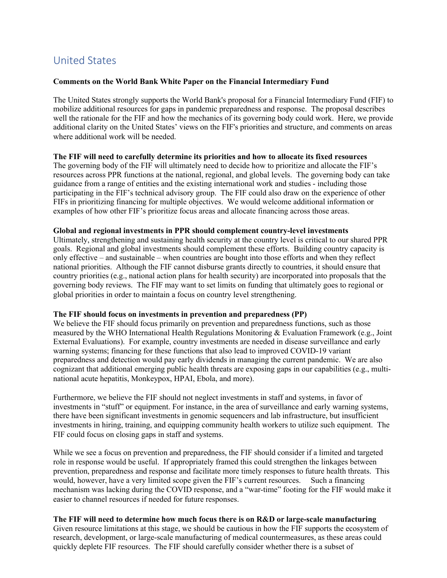# United States

# **Comments on the World Bank White Paper on the Financial Intermediary Fund**

The United States strongly supports the World Bank's proposal for a Financial Intermediary Fund (FIF) to mobilize additional resources for gaps in pandemic preparedness and response. The proposal describes well the rationale for the FIF and how the mechanics of its governing body could work. Here, we provide additional clarity on the United States' views on the FIF's priorities and structure, and comments on areas where additional work will be needed.

#### **The FIF will need to carefully determine its priorities and how to allocate its fixed resources**

The governing body of the FIF will ultimately need to decide how to prioritize and allocate the FIF's resources across PPR functions at the national, regional, and global levels. The governing body can take guidance from a range of entities and the existing international work and studies - including those participating in the FIF's technical advisory group. The FIF could also draw on the experience of other FIFs in prioritizing financing for multiple objectives. We would welcome additional information or examples of how other FIF's prioritize focus areas and allocate financing across those areas.

#### **Global and regional investments in PPR should complement country-level investments**

Ultimately, strengthening and sustaining health security at the country level is critical to our shared PPR goals. Regional and global investments should complement these efforts. Building country capacity is only effective – and sustainable – when countries are bought into those efforts and when they reflect national priorities. Although the FIF cannot disburse grants directly to countries, it should ensure that country priorities (e.g., national action plans for health security) are incorporated into proposals that the governing body reviews. The FIF may want to set limits on funding that ultimately goes to regional or global priorities in order to maintain a focus on country level strengthening.

## **The FIF should focus on investments in prevention and preparedness (PP)**

We believe the FIF should focus primarily on prevention and preparedness functions, such as those measured by the WHO International Health Regulations Monitoring & Evaluation Framework (e.g., Joint External Evaluations). For example, country investments are needed in disease surveillance and early warning systems; financing for these functions that also lead to improved COVID-19 variant preparedness and detection would pay early dividends in managing the current pandemic. We are also cognizant that additional emerging public health threats are exposing gaps in our capabilities (e.g., multinational acute hepatitis, Monkeypox, HPAI, Ebola, and more).

Furthermore, we believe the FIF should not neglect investments in staff and systems, in favor of investments in "stuff" or equipment. For instance, in the area of surveillance and early warning systems, there have been significant investments in genomic sequencers and lab infrastructure, but insufficient investments in hiring, training, and equipping community health workers to utilize such equipment. The FIF could focus on closing gaps in staff and systems.

While we see a focus on prevention and preparedness, the FIF should consider if a limited and targeted role in response would be useful. If appropriately framed this could strengthen the linkages between prevention, preparedness and response and facilitate more timely responses to future health threats. This would, however, have a very limited scope given the FIF's current resources. Such a financing mechanism was lacking during the COVID response, and a "war-time" footing for the FIF would make it easier to channel resources if needed for future responses.

# **The FIF will need to determine how much focus there is on R&D or large-scale manufacturing**

Given resource limitations at this stage, we should be cautious in how the FIF supports the ecosystem of research, development, or large-scale manufacturing of medical countermeasures, as these areas could quickly deplete FIF resources. The FIF should carefully consider whether there is a subset of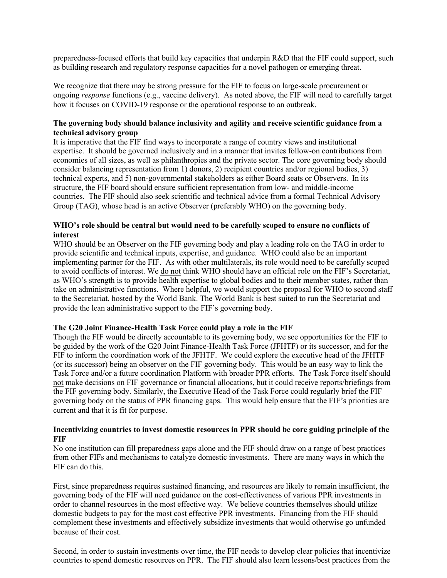preparedness-focused efforts that build key capacities that underpin R&D that the FIF could support, such as building research and regulatory response capacities for a novel pathogen or emerging threat.

We recognize that there may be strong pressure for the FIF to focus on large-scale procurement or ongoing *response* functions (e.g., vaccine delivery). As noted above, the FIF will need to carefully target how it focuses on COVID-19 response or the operational response to an outbreak.

## **The governing body should balance inclusivity and agility and receive scientific guidance from a technical advisory group**

It is imperative that the FIF find ways to incorporate a range of country views and institutional expertise. It should be governed inclusively and in a manner that invites follow-on contributions from economies of all sizes, as well as philanthropies and the private sector. The core governing body should consider balancing representation from 1) donors, 2) recipient countries and/or regional bodies, 3) technical experts, and 5) non-governmental stakeholders as either Board seats or Observers. In its structure, the FIF board should ensure sufficient representation from low- and middle-income countries. The FIF should also seek scientific and technical advice from a formal Technical Advisory Group (TAG), whose head is an active Observer (preferably WHO) on the governing body.

# **WHO's role should be central but would need to be carefully scoped to ensure no conflicts of interest**

WHO should be an Observer on the FIF governing body and play a leading role on the TAG in order to provide scientific and technical inputs, expertise, and guidance. WHO could also be an important implementing partner for the FIF. As with other multilaterals, its role would need to be carefully scoped to avoid conflicts of interest. We do not think WHO should have an official role on the FIF's Secretariat, as WHO's strength is to provide health expertise to global bodies and to their member states, rather than take on administrative functions. Where helpful, we would support the proposal for WHO to second staff to the Secretariat, hosted by the World Bank. The World Bank is best suited to run the Secretariat and provide the lean administrative support to the FIF's governing body.

#### **The G20 Joint Finance-Health Task Force could play a role in the FIF**

Though the FIF would be directly accountable to its governing body, we see opportunities for the FIF to be guided by the work of the G20 Joint Finance-Health Task Force (JFHTF) or its successor, and for the FIF to inform the coordination work of the JFHTF. We could explore the executive head of the JFHTF (or its successor) being an observer on the FIF governing body. This would be an easy way to link the Task Force and/or a future coordination Platform with broader PPR efforts. The Task Force itself should not make decisions on FIF governance or financial allocations, but it could receive reports/briefings from the FIF governing body. Similarly, the Executive Head of the Task Force could regularly brief the FIF governing body on the status of PPR financing gaps. This would help ensure that the FIF's priorities are current and that it is fit for purpose.

### **Incentivizing countries to invest domestic resources in PPR should be core guiding principle of the FIF**

No one institution can fill preparedness gaps alone and the FIF should draw on a range of best practices from other FIFs and mechanisms to catalyze domestic investments. There are many ways in which the FIF can do this.

First, since preparedness requires sustained financing, and resources are likely to remain insufficient, the governing body of the FIF will need guidance on the cost-effectiveness of various PPR investments in order to channel resources in the most effective way. We believe countries themselves should utilize domestic budgets to pay for the most cost effective PPR investments. Financing from the FIF should complement these investments and effectively subsidize investments that would otherwise go unfunded because of their cost.

Second, in order to sustain investments over time, the FIF needs to develop clear policies that incentivize countries to spend domestic resources on PPR. The FIF should also learn lessons/best practices from the